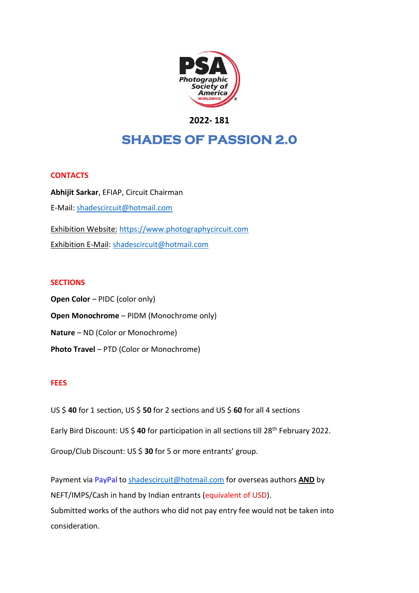

# **2022- 181**

# **SHADES OF PASSION 2.0**

## **CONTACTS**

**Abhijit Sarkar**, EFIAP, Circuit Chairman E-Mail: [shadescircuit@hotmail.com](mailto:shadescircuit@hotmail.com) Exhibition Website: [https://www.photographycircuit.com](https://www.photographycircuit.com/) Exhibition E-Mail: [shadescircuit@hotmail.com](mailto:shadescircuit@hotmail.com)

#### **SECTIONS**

**Open Color** – PIDC (color only) **Open Monochrome** – PIDM (Monochrome only) **Nature** – ND (Color or Monochrome) **Photo Travel** – PTD (Color or Monochrome)

#### **FEES**

US \$ **40** for 1 section, US \$ **50** for 2 sections and US \$ **60** for all 4 sections

Early Bird Discount: US \$ **40** for participation in all sections till 28th February 2022.

Group/Club Discount: US \$ **30** for 5 or more entrants' group.

Payment via PayPal to [shadescircuit@hotmail.com](mailto:shadescircuit@hotmail.com) for overseas authors **AND** by NEFT/IMPS/Cash in hand by Indian entrants (equivalent of USD). Submitted works of the authors who did not pay entry fee would not be taken into consideration.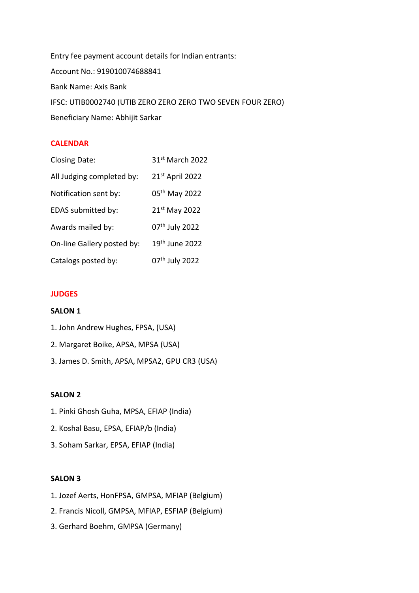Entry fee payment account details for Indian entrants: Account No.: 919010074688841 Bank Name: Axis Bank IFSC: UTIB0002740 (UTIB ZERO ZERO ZERO TWO SEVEN FOUR ZERO) Beneficiary Name: Abhijit Sarkar

## **CALENDAR**

| <b>Closing Date:</b>       | 31st March 2022            |
|----------------------------|----------------------------|
| All Judging completed by:  | 21st April 2022            |
| Notification sent by:      | 05th May 2022              |
| EDAS submitted by:         | 21st May 2022              |
| Awards mailed by:          | 07th July 2022             |
| On-line Gallery posted by: | 19 <sup>th</sup> June 2022 |
| Catalogs posted by:        | 07th July 2022             |

## **JUDGES**

## **SALON 1**

1. John Andrew Hughes, FPSA, (USA) 2. Margaret Boike, APSA, MPSA (USA) 3. James D. Smith, APSA, MPSA2, GPU CR3 (USA)

## **SALON 2**

- 1. Pinki Ghosh Guha, MPSA, EFIAP (India)
- 2. Koshal Basu, EPSA, EFIAP/b (India)
- 3. Soham Sarkar, EPSA, EFIAP (India)

#### **SALON 3**

- 1. Jozef Aerts, HonFPSA, GMPSA, MFIAP (Belgium)
- 2. Francis Nicoll, GMPSA, MFIAP, ESFIAP (Belgium)
- 3. Gerhard Boehm, GMPSA (Germany)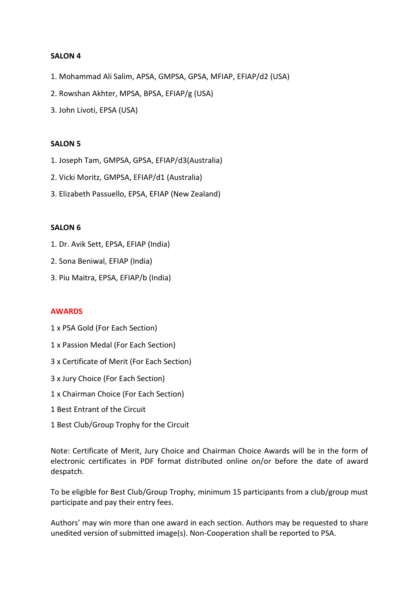## **SALON 4**

- 1. Mohammad Ali Salim, APSA, GMPSA, GPSA, MFIAP, EFIAP/d2 (USA)
- 2. Rowshan Akhter, MPSA, BPSA, EFIAP/g (USA)
- 3. John Livoti, EPSA (USA)

## **SALON 5**

- 1. Joseph Tam, GMPSA, GPSA, EFIAP/d3(Australia)
- 2. Vicki Moritz, GMPSA, EFIAP/d1 (Australia)
- 3. Elizabeth Passuello, EPSA, EFIAP (New Zealand)

## **SALON 6**

- 1. Dr. Avik Sett, EPSA, EFIAP (India)
- 2. Sona Beniwal, EFIAP (India)
- 3. Piu Maitra, EPSA, EFIAP/b (India)

## **AWARDS**

- 1 x PSA Gold (For Each Section)
- 1 x Passion Medal (For Each Section)
- 3 x Certificate of Merit (For Each Section)
- 3 x Jury Choice (For Each Section)
- 1 x Chairman Choice (For Each Section)
- 1 Best Entrant of the Circuit
- 1 Best Club/Group Trophy for the Circuit

Note: Certificate of Merit, Jury Choice and Chairman Choice Awards will be in the form of electronic certificates in PDF format distributed online on/or before the date of award despatch.

To be eligible for Best Club/Group Trophy, minimum 15 participants from a club/group must participate and pay their entry fees.

Authors' may win more than one award in each section. Authors may be requested to share unedited version of submitted image(s). Non-Cooperation shall be reported to PSA.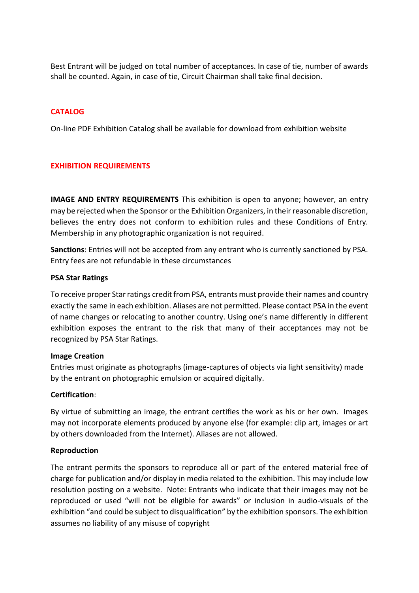Best Entrant will be judged on total number of acceptances. In case of tie, number of awards shall be counted. Again, in case of tie, Circuit Chairman shall take final decision.

# **CATALOG**

On-line PDF Exhibition Catalog shall be available for download from exhibition website

## **EXHIBITION REQUIREMENTS**

**IMAGE AND ENTRY REQUIREMENTS** This exhibition is open to anyone; however, an entry may be rejected when the Sponsor or the Exhibition Organizers, in their reasonable discretion, believes the entry does not conform to exhibition rules and these Conditions of Entry. Membership in any photographic organization is not required.

**Sanctions**: Entries will not be accepted from any entrant who is currently sanctioned by PSA. Entry fees are not refundable in these circumstances

#### **PSA Star Ratings**

To receive proper Star ratings credit from PSA, entrants must provide their names and country exactly the same in each exhibition. Aliases are not permitted. Please contact PSA in the event of name changes or relocating to another country. Using one's name differently in different exhibition exposes the entrant to the risk that many of their acceptances may not be recognized by PSA Star Ratings.

## **Image Creation**

Entries must originate as photographs (image-captures of objects via light sensitivity) made by the entrant on photographic emulsion or acquired digitally.

## **Certification**:

By virtue of submitting an image, the entrant certifies the work as his or her own. Images may not incorporate elements produced by anyone else (for example: clip art, images or art by others downloaded from the Internet). Aliases are not allowed.

## **Reproduction**

The entrant permits the sponsors to reproduce all or part of the entered material free of charge for publication and/or display in media related to the exhibition. This may include low resolution posting on a website. Note: Entrants who indicate that their images may not be reproduced or used "will not be eligible for awards" or inclusion in audio-visuals of the exhibition "and could be subject to disqualification" by the exhibition sponsors. The exhibition assumes no liability of any misuse of copyright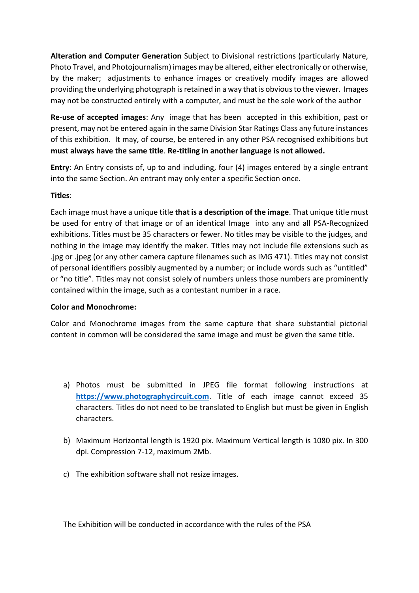**Alteration and Computer Generation** Subject to Divisional restrictions (particularly Nature, Photo Travel, and Photojournalism) images may be altered, either electronically or otherwise, by the maker; adjustments to enhance images or creatively modify images are allowed providing the underlying photograph is retained in a way that is obvious to the viewer. Images may not be constructed entirely with a computer, and must be the sole work of the author

**Re-use of accepted images**: Any image that has been accepted in this exhibition, past or present, may not be entered again in the same Division Star Ratings Class any future instances of this exhibition. It may, of course, be entered in any other PSA recognised exhibitions but **must always have the same title**. **Re-titling in another language is not allowed.**

**Entry**: An Entry consists of, up to and including, four (4) images entered by a single entrant into the same Section. An entrant may only enter a specific Section once.

# **Titles**:

Each image must have a unique title **that is a description of the image**. That unique title must be used for entry of that image or of an identical Image into any and all PSA-Recognized exhibitions. Titles must be 35 characters or fewer. No titles may be visible to the judges, and nothing in the image may identify the maker. Titles may not include file extensions such as .jpg or .jpeg (or any other camera capture filenames such as IMG 471). Titles may not consist of personal identifiers possibly augmented by a number; or include words such as "untitled" or "no title". Titles may not consist solely of numbers unless those numbers are prominently contained within the image, such as a contestant number in a race.

# **Color and Monochrome:**

Color and Monochrome images from the same capture that share substantial pictorial content in common will be considered the same image and must be given the same title.

- a) Photos must be submitted in JPEG file format following instructions at **[https://www.photographycircuit.com](https://www.photographycircuit.com/)**. Title of each image cannot exceed 35 characters. Titles do not need to be translated to English but must be given in English characters.
- b) Maximum Horizontal length is 1920 pix. Maximum Vertical length is 1080 pix. In 300 dpi. Compression 7-12, maximum 2Mb.
- c) The exhibition software shall not resize images.

The Exhibition will be conducted in accordance with the rules of the PSA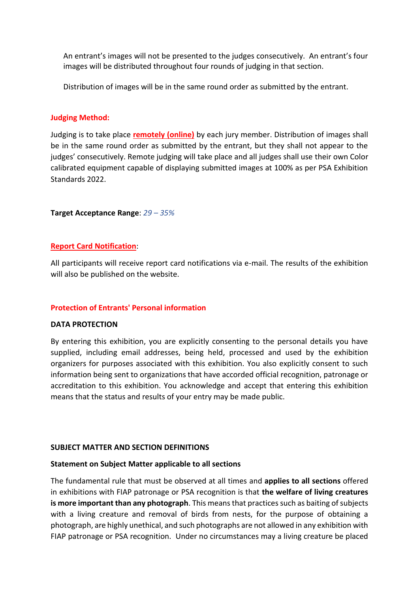An entrant's images will not be presented to the judges consecutively. An entrant's four images will be distributed throughout four rounds of judging in that section.

Distribution of images will be in the same round order as submitted by the entrant.

## **Judging Method:**

Judging is to take place **remotely (online)** by each jury member. Distribution of images shall be in the same round order as submitted by the entrant, but they shall not appear to the judges' consecutively. Remote judging will take place and all judges shall use their own Color calibrated equipment capable of displaying submitted images at 100% as per PSA Exhibition Standards 2022.

## **Target Acceptance Range**: *29 – 35%*

## **Report Card Notification**:

All participants will receive report card notifications via e-mail. The results of the exhibition will also be published on the website.

## **Protection of Entrants' Personal information**

## **DATA PROTECTION**

By entering this exhibition, you are explicitly consenting to the personal details you have supplied, including email addresses, being held, processed and used by the exhibition organizers for purposes associated with this exhibition. You also explicitly consent to such information being sent to organizations that have accorded official recognition, patronage or accreditation to this exhibition. You acknowledge and accept that entering this exhibition means that the status and results of your entry may be made public.

## **SUBJECT MATTER AND SECTION DEFINITIONS**

## **Statement on Subject Matter applicable to all sections**

The fundamental rule that must be observed at all times and **applies to all sections** offered in exhibitions with FIAP patronage or PSA recognition is that **the welfare of living creatures is more important than any photograph**. This means that practices such as baiting of subjects with a living creature and removal of birds from nests, for the purpose of obtaining a photograph, are highly unethical, and such photographs are not allowed in any exhibition with FIAP patronage or PSA recognition. Under no circumstances may a living creature be placed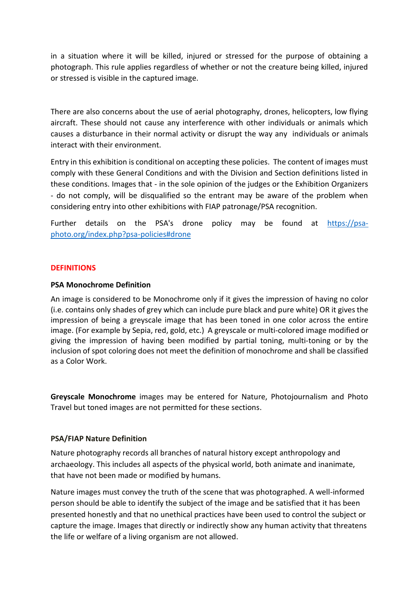in a situation where it will be killed, injured or stressed for the purpose of obtaining a photograph. This rule applies regardless of whether or not the creature being killed, injured or stressed is visible in the captured image.

There are also concerns about the use of aerial photography, drones, helicopters, low flying aircraft. These should not cause any interference with other individuals or animals which causes a disturbance in their normal activity or disrupt the way any individuals or animals interact with their environment.

Entry in this exhibition is conditional on accepting these policies. The content of images must comply with these General Conditions and with the Division and Section definitions listed in these conditions. Images that - in the sole opinion of the judges or the Exhibition Organizers - do not comply, will be disqualified so the entrant may be aware of the problem when considering entry into other exhibitions with FIAP patronage/PSA recognition.

Further details on the PSA's drone policy may be found at [https://psa](https://psa-photo.org/index.php?psa-policies%23drone)[photo.org/index.php?psa-policies#drone](https://psa-photo.org/index.php?psa-policies%23drone)

## **DEFINITIONS**

## **PSA Monochrome Definition**

An image is considered to be Monochrome only if it gives the impression of having no color (i.e. contains only shades of grey which can include pure black and pure white) OR it gives the impression of being a greyscale image that has been toned in one color across the entire image. (For example by Sepia, red, gold, etc.) A greyscale or multi-colored image modified or giving the impression of having been modified by partial toning, multi-toning or by the inclusion of spot coloring does not meet the definition of monochrome and shall be classified as a Color Work.

**Greyscale Monochrome** images may be entered for Nature, Photojournalism and Photo Travel but toned images are not permitted for these sections.

# **PSA/FIAP Nature Definition**

Nature photography records all branches of natural history except anthropology and archaeology. This includes all aspects of the physical world, both animate and inanimate, that have not been made or modified by humans.

Nature images must convey the truth of the scene that was photographed. A well-informed person should be able to identify the subject of the image and be satisfied that it has been presented honestly and that no unethical practices have been used to control the subject or capture the image. Images that directly or indirectly show any human activity that threatens the life or welfare of a living organism are not allowed.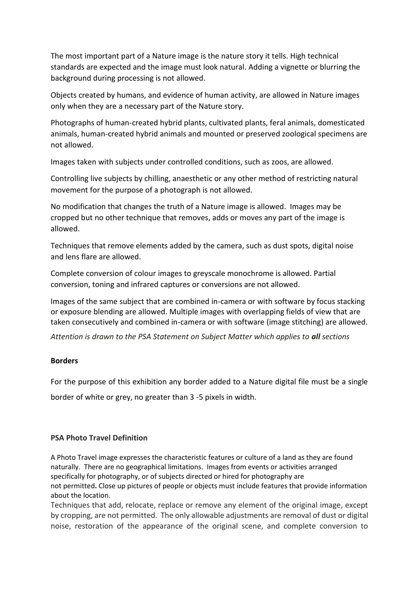The most important part of a Nature image is the nature story it tells. High technical standards are expected and the image must look natural. Adding a vignette or blurring the background during processing is not allowed.

Objects created by humans, and evidence of human activity, are allowed in Nature images only when they are a necessary part of the Nature story.

Photographs of human-created hybrid plants, cultivated plants, feral animals, domesticated animals, human-created hybrid animals and mounted or preserved zoological specimens are not allowed.

Images taken with subjects under controlled conditions, such as zoos, are allowed.

Controlling live subjects by chilling, anaesthetic or any other method of restricting natural movement for the purpose of a photograph is not allowed.

No modification that changes the truth of a Nature image is allowed. Images may be cropped but no other technique that removes, adds or moves any part of the image is allowed.

Techniques that remove elements added by the camera, such as dust spots, digital noise and lens flare are allowed.

Complete conversion of colour images to greyscale monochrome is allowed. Partial conversion, toning and infrared captures or conversions are not allowed.

Images of the same subject that are combined in-camera or with software by focus stacking or exposure blending are allowed. Multiple images with overlapping fields of view that are taken consecutively and combined in-camera or with software (image stitching) are allowed.

*Attention is drawn to the PSA Statement on Subject Matter which applies to all sections*

# **Borders**

For the purpose of this exhibition any border added to a Nature digital file must be a single

border of white or grey, no greater than 3 -5 pixels in width.

# **PSA Photo Travel Definition**

A Photo Travel image expresses the characteristic features or culture of a land as they are found naturally. There are no geographical limitations. Images from events or activities arranged specifically for photography, or of subjects directed or hired for photography are not permitted**.** Close up pictures of people or objects must include features that provide information about the location.

Techniques that add, relocate, replace or remove any element of the original image, except by cropping, are not permitted. The only allowable adjustments are removal of dust or digital noise, restoration of the appearance of the original scene, and complete conversion to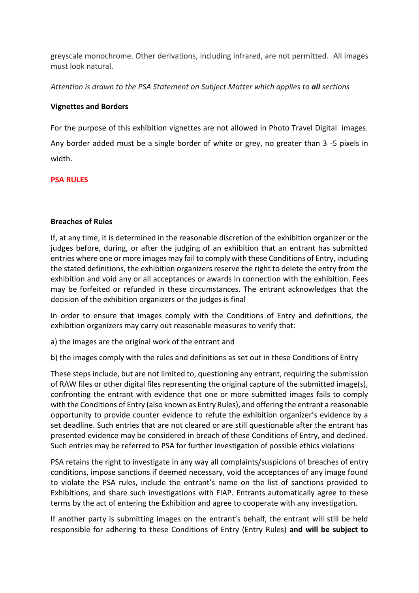greyscale monochrome. Other derivations, including infrared, are not permitted. All images must look natural.

*Attention is drawn to the PSA Statement on Subject Matter which applies to all sections*

## **Vignettes and Borders**

For the purpose of this exhibition vignettes are not allowed in Photo Travel Digital images. Any border added must be a single border of white or grey, no greater than 3 -5 pixels in width.

# **PSA RULES**

## **Breaches of Rules**

If, at any time, it is determined in the reasonable discretion of the exhibition organizer or the judges before, during, or after the judging of an exhibition that an entrant has submitted entries where one or more images may fail to comply with these Conditions of Entry, including the stated definitions, the exhibition organizers reserve the right to delete the entry from the exhibition and void any or all acceptances or awards in connection with the exhibition. Fees may be forfeited or refunded in these circumstances. The entrant acknowledges that the decision of the exhibition organizers or the judges is final

In order to ensure that images comply with the Conditions of Entry and definitions, the exhibition organizers may carry out reasonable measures to verify that:

a) the images are the original work of the entrant and

b) the images comply with the rules and definitions as set out in these Conditions of Entry

These steps include, but are not limited to, questioning any entrant, requiring the submission of RAW files or other digital files representing the original capture of the submitted image(s), confronting the entrant with evidence that one or more submitted images fails to comply with the Conditions of Entry (also known as Entry Rules), and offering the entrant a reasonable opportunity to provide counter evidence to refute the exhibition organizer's evidence by a set deadline. Such entries that are not cleared or are still questionable after the entrant has presented evidence may be considered in breach of these Conditions of Entry, and declined. Such entries may be referred to PSA for further investigation of possible ethics violations

PSA retains the right to investigate in any way all complaints/suspicions of breaches of entry conditions, impose sanctions if deemed necessary, void the acceptances of any image found to violate the PSA rules, include the entrant's name on the list of sanctions provided to Exhibitions, and share such investigations with FIAP. Entrants automatically agree to these terms by the act of entering the Exhibition and agree to cooperate with any investigation.

If another party is submitting images on the entrant's behalf, the entrant will still be held responsible for adhering to these Conditions of Entry (Entry Rules) **and will be subject to**